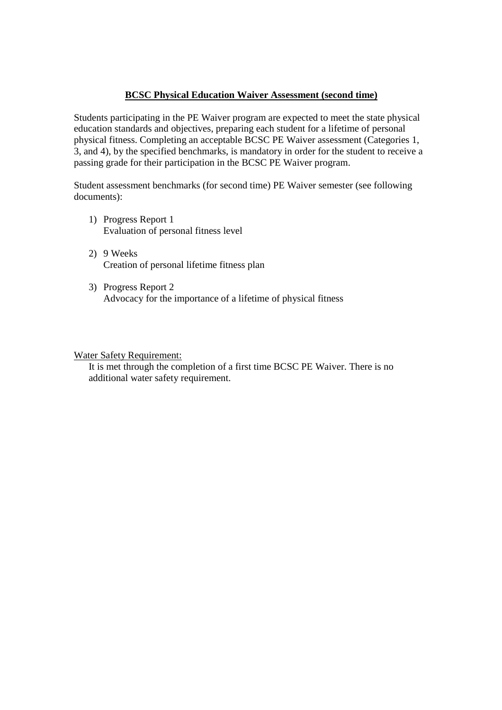### **BCSC Physical Education Waiver Assessment (second time)**

Students participating in the PE Waiver program are expected to meet the state physical education standards and objectives, preparing each student for a lifetime of personal physical fitness. Completing an acceptable BCSC PE Waiver assessment (Categories 1, 3, and 4), by the specified benchmarks, is mandatory in order for the student to receive a passing grade for their participation in the BCSC PE Waiver program.

Student assessment benchmarks (for second time) PE Waiver semester (see following documents):

- 1) Progress Report 1 Evaluation of personal fitness level
- 2) 9 Weeks Creation of personal lifetime fitness plan
- 3) Progress Report 2 Advocacy for the importance of a lifetime of physical fitness

#### Water Safety Requirement:

It is met through the completion of a first time BCSC PE Waiver. There is no additional water safety requirement.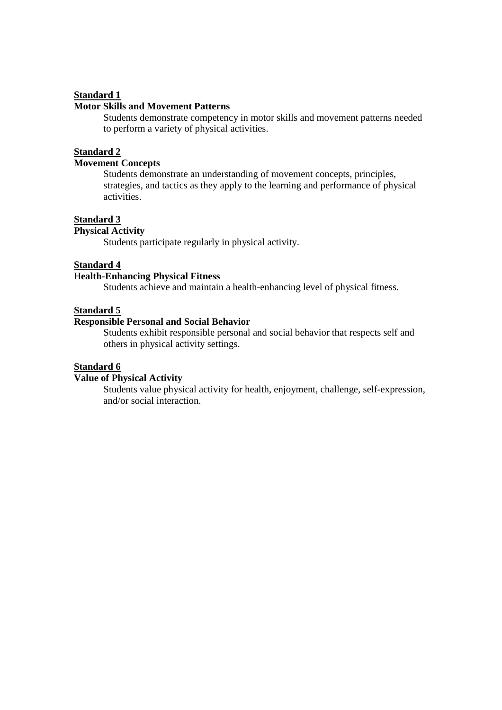### **Standard 1**

### **Motor Skills and Movement Patterns**

Students demonstrate competency in motor skills and movement patterns needed to perform a variety of physical activities.

#### **Standard 2**

# **Movement Concepts**

Students demonstrate an understanding of movement concepts, principles, strategies, and tactics as they apply to the learning and performance of physical activities.

## **Standard 3**

# **Physical Activity**

Students participate regularly in physical activity.

#### **Standard 4**

### H**ealth-Enhancing Physical Fitness**

Students achieve and maintain a health-enhancing level of physical fitness.

# **Standard 5**

### **Responsible Personal and Social Behavior**

 Students exhibit responsible personal and social behavior that respects self and others in physical activity settings.

#### **Standard 6**

#### **Value of Physical Activity**

 Students value physical activity for health, enjoyment, challenge, self-expression, and/or social interaction.